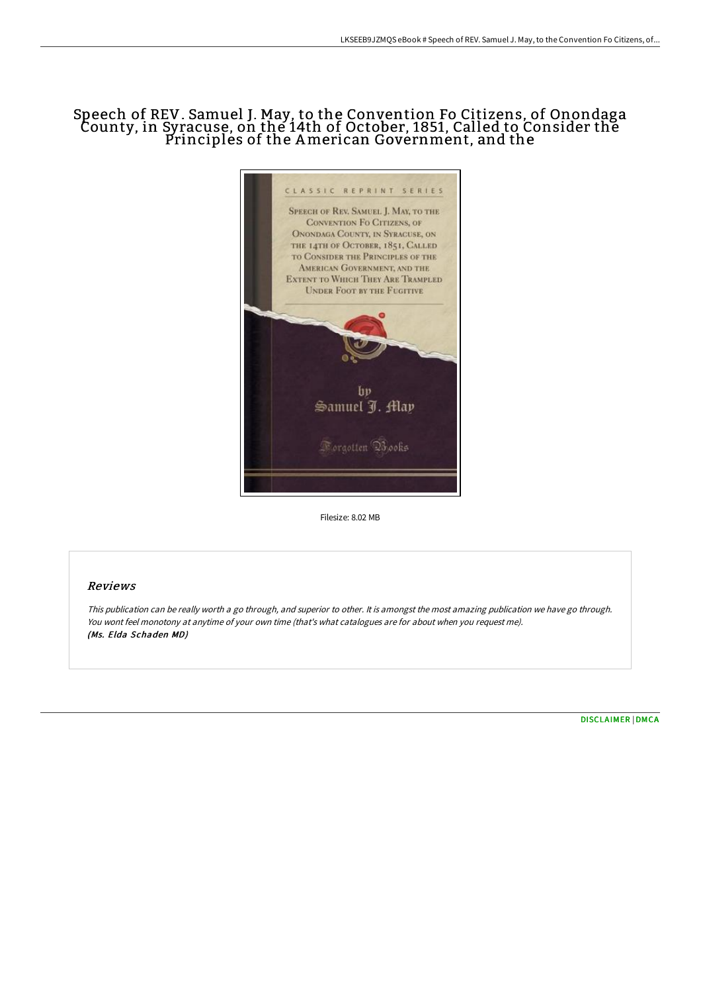# Speech of REV. Samuel J. May, to the Convention Fo Citizens, of Onondaga County, in Syracuse, on the 14th of October, 1851, Called to Consider the Principles of the American Government, and the



Filesize: 8.02 MB

## Reviews

This publication can be really worth <sup>a</sup> go through, and superior to other. It is amongst the most amazing publication we have go through. You wont feel monotony at anytime of your own time (that's what catalogues are for about when you request me). (Ms. Elda Schaden MD)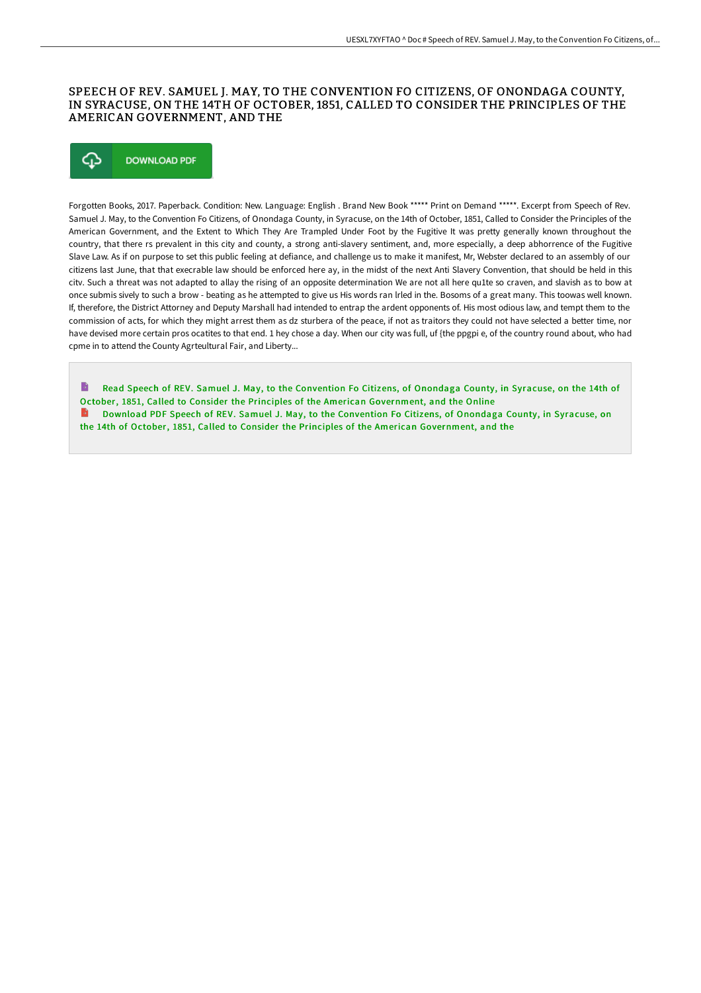### SPEECH OF REV. SAMUEL J. MAY, TO THE CONVENTION FO CITIZENS, OF ONONDAGA COUNTY, IN SYRACUSE, ON THE 14TH OF OCTOBER, 1851, CALLED TO CONSIDER THE PRINCIPLES OF THE AMERICAN GOVERNMENT, AND THE

# ঞ **DOWNLOAD PDF**

Forgotten Books, 2017. Paperback. Condition: New. Language: English . Brand New Book \*\*\*\*\* Print on Demand \*\*\*\*\*. Excerpt from Speech of Rev. Samuel J. May, to the Convention Fo Citizens, of Onondaga County, in Syracuse, on the 14th of October, 1851, Called to Consider the Principles of the American Government, and the Extent to Which They Are Trampled Under Foot by the Fugitive It was pretty generally known throughout the country, that there rs prevalent in this city and county, a strong anti-slavery sentiment, and, more especially, a deep abhorrence of the Fugitive Slave Law. As if on purpose to set this public feeling at defiance, and challenge us to make it manifest, Mr, Webster declared to an assembly of our citizens last June, that that execrable law should be enforced here ay, in the midst of the next Anti Slavery Convention, that should be held in this citv. Such a threat was not adapted to allay the rising of an opposite determination We are not all here qu1te so craven, and slavish as to bow at once submis sively to such a brow - beating as he attempted to give us His words ran lrled in the. Bosoms of a great many. This toowas well known. If, therefore, the District Attorney and Deputy Marshall had intended to entrap the ardent opponents of. His most odious law, and tempt them to the commission of acts, for which they might arrest them as dz sturbera of the peace, if not as traitors they could not have selected a better time, nor have devised more certain pros ocatites to that end. 1 hey chose a day. When our city was full, uf {the ppgpi e, of the country round about, who had cpme in to attend the County Agrteultural Fair, and Liberty...

B Read Speech of REV. Samuel J. May, to the Convention Fo Citizens, of Onondaga County, in Syracuse, on the 14th of October, 1851, Called to Consider the Principles of the American [Government,](http://techno-pub.tech/speech-of-rev-samuel-j-may-to-the-convention-fo-.html) and the Online  $\rightarrow$ Download PDF Speech of REV. Samuel J. May, to the Convention Fo Citizens, of Onondaga County, in Syracuse, on the 14th of October, 1851, Called to Consider the Principles of the American [Government,](http://techno-pub.tech/speech-of-rev-samuel-j-may-to-the-convention-fo-.html) and the